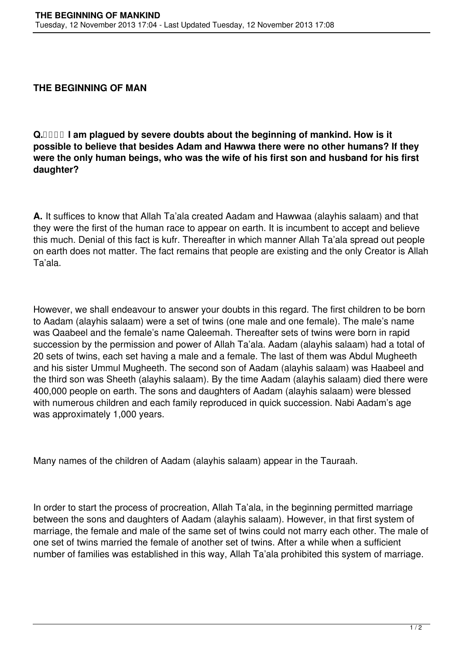## **THE BEGINNING OF MAN**

**Q. I am plagued by severe doubts about the beginning of mankind. How is it possible to believe that besides Adam and Hawwa there were no other humans? If they were the only human beings, who was the wife of his first son and husband for his first daughter?**

**A.** It suffices to know that Allah Ta'ala created Aadam and Hawwaa (alayhis salaam) and that they were the first of the human race to appear on earth. It is incumbent to accept and believe this much. Denial of this fact is kufr. Thereafter in which manner Allah Ta'ala spread out people on earth does not matter. The fact remains that people are existing and the only Creator is Allah Ta'ala.

However, we shall endeavour to answer your doubts in this regard. The first children to be born to Aadam (alayhis salaam) were a set of twins (one male and one female). The male's name was Qaabeel and the female's name Qaleemah. Thereafter sets of twins were born in rapid succession by the permission and power of Allah Ta'ala. Aadam (alayhis salaam) had a total of 20 sets of twins, each set having a male and a female. The last of them was Abdul Mugheeth and his sister Ummul Mugheeth. The second son of Aadam (alayhis salaam) was Haabeel and the third son was Sheeth (alayhis salaam). By the time Aadam (alayhis salaam) died there were 400,000 people on earth. The sons and daughters of Aadam (alayhis salaam) were blessed with numerous children and each family reproduced in quick succession. Nabi Aadam's age was approximately 1,000 years.

Many names of the children of Aadam (alayhis salaam) appear in the Tauraah.

In order to start the process of procreation, Allah Ta'ala, in the beginning permitted marriage between the sons and daughters of Aadam (alayhis salaam). However, in that first system of marriage, the female and male of the same set of twins could not marry each other. The male of one set of twins married the female of another set of twins. After a while when a sufficient number of families was established in this way, Allah Ta'ala prohibited this system of marriage.